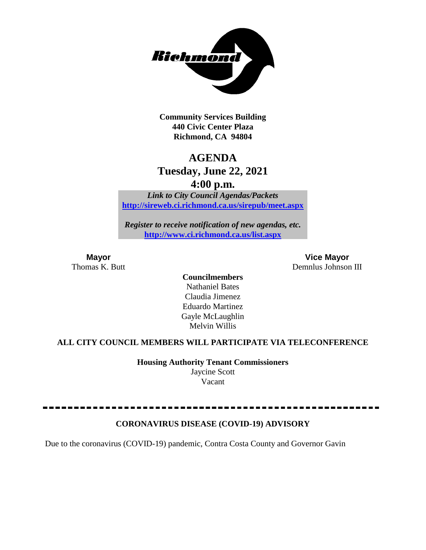

**Community Services Building 440 Civic Center Plaza Richmond, CA 94804**

## **AGENDA**

## **Tuesday, June 22, 2021**

**4:00 p.m.**

*Link to City Council Agendas/Packets* **<http://sireweb.ci.richmond.ca.us/sirepub/meet.aspx>**

*Register to receive notification of new agendas, etc.* **<http://www.ci.richmond.ca.us/list.aspx>**

**Mayor Vice Mayor** Thomas K. Butt Demnlus Johnson III

> **Councilmembers** Nathaniel Bates Claudia Jimenez Eduardo Martinez Gayle McLaughlin Melvin Willis

#### **ALL CITY COUNCIL MEMBERS WILL PARTICIPATE VIA TELECONFERENCE**

**Housing Authority Tenant Commissioners** Jaycine Scott Vacant

#### **CORONAVIRUS DISEASE (COVID-19) ADVISORY**

Due to the coronavirus (COVID-19) pandemic, Contra Costa County and Governor Gavin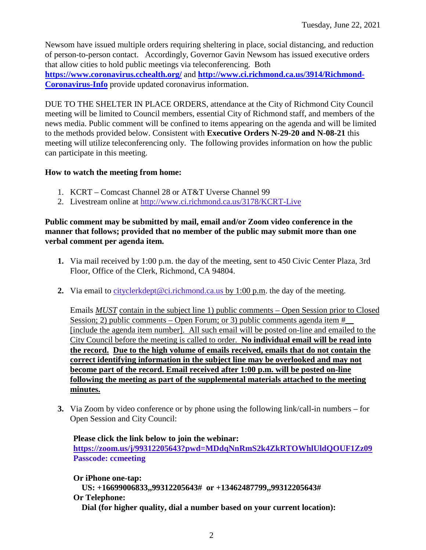Newsom have issued multiple orders requiring sheltering in place, social distancing, and reduction of person-to-person contact. Accordingly, Governor Gavin Newsom has issued executive orders that allow cities to hold public meetings via teleconferencing. Both **<https://www.coronavirus.cchealth.org/>** and **[http://www.ci.richmond.ca.us/3914/Richmond-](http://www.ci.richmond.ca.us/3914/Richmond-Coronavirus-Info)[Coronavirus-Info](http://www.ci.richmond.ca.us/3914/Richmond-Coronavirus-Info)** provide updated coronavirus information.

DUE TO THE SHELTER IN PLACE ORDERS, attendance at the City of Richmond City Council meeting will be limited to Council members, essential City of Richmond staff, and members of the news media. Public comment will be confined to items appearing on the agenda and will be limited to the methods provided below. Consistent with **Executive Orders N-29-20 and N-08-21** this meeting will utilize teleconferencing only. The following provides information on how the public can participate in this meeting.

#### **How to watch the meeting from home:**

- 1. KCRT Comcast Channel 28 or AT&T Uverse Channel 99
- 2. Livestream online at<http://www.ci.richmond.ca.us/3178/KCRT-Live>

#### **Public comment may be submitted by mail, email and/or Zoom video conference in the manner that follows; provided that no member of the public may submit more than one verbal comment per agenda item.**

- **1.** Via mail received by 1:00 p.m. the day of the meeting, sent to 450 Civic Center Plaza, 3rd Floor, Office of the Clerk, Richmond, CA 94804.
- **2.** Via email to [cityclerkdept@ci.richmond.ca.us](mailto:cityclerkdept@ci.richmond.ca.us) by 1:00 p.m. the day of the meeting.

Emails *MUST* contain in the subject line 1) public comments – Open Session prior to Closed Session; 2) public comments – Open Forum; or 3) public comments agenda item  $#$ [include the agenda item number]. All such email will be posted on-line and emailed to the City Council before the meeting is called to order. **No individual email will be read into the record. Due to the high volume of emails received, emails that do not contain the correct identifying information in the subject line may be overlooked and may not become part of the record. Email received after 1:00 p.m. will be posted on-line following the meeting as part of the supplemental materials attached to the meeting minutes.**

**3.** Via Zoom by video conference or by phone using the following link/call-in numbers – for Open Session and City Council:

**Please click the link below to join the webinar: <https://zoom.us/j/99312205643?pwd=MDdqNnRmS2k4ZkRTOWhlUldQOUF1Zz09> Passcode: ccmeeting**

**Or iPhone one-tap: US: +16699006833,,99312205643# or +13462487799,,99312205643# Or Telephone: Dial (for higher quality, dial a number based on your current location):**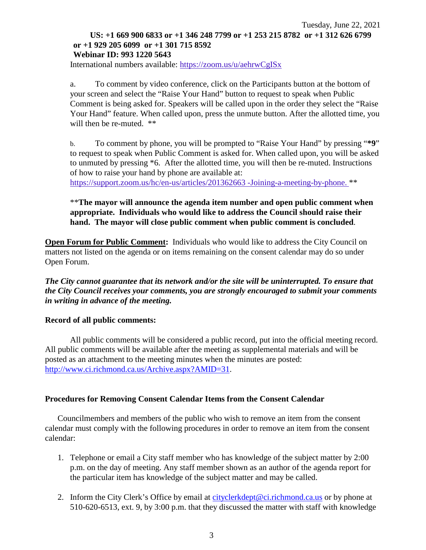#### Tuesday, June 22, 2021 **US: +1 669 900 6833 or +1 346 248 7799 or +1 253 215 8782 or +1 312 626 6799 or +1 929 205 6099 or +1 301 715 8592 Webinar ID: 993 1220 5643**

International numbers available: <https://zoom.us/u/aehrwCgISx>

a. To comment by video conference, click on the Participants button at the bottom of your screen and select the "Raise Your Hand" button to request to speak when Public Comment is being asked for. Speakers will be called upon in the order they select the "Raise Your Hand" feature. When called upon, press the unmute button. After the allotted time, you will then be re-muted.  $**$ 

b. To comment by phone, you will be prompted to "Raise Your Hand" by pressing "**\*9**" to request to speak when Public Comment is asked for. When called upon, you will be asked to unmuted by pressing \*6. After the allotted time, you will then be re-muted. Instructions of how to raise your hand by phone are available at:

[https://support.zoom.us/hc/en-us/articles/201362663 -Joining-a-meeting-by-phone.](https://support.zoom.us/hc/en-us/articles/201362663) \*\*

#### \*\***The mayor will announce the agenda item number and open public comment when appropriate. Individuals who would like to address the Council should raise their hand. The mayor will close public comment when public comment is concluded**.

**Open Forum for Public Comment:** Individuals who would like to address the City Council on matters not listed on the agenda or on items remaining on the consent calendar may do so under Open Forum.

*The City cannot guarantee that its network and/or the site will be uninterrupted. To ensure that the City Council receives your comments, you are strongly encouraged to submit your comments in writing in advance of the meeting.* 

#### **Record of all public comments:**

All public comments will be considered a public record, put into the official meeting record. All public comments will be available after the meeting as supplemental materials and will be posted as an attachment to the meeting minutes when the minutes are posted: [http://www.ci.richmond.ca.us/Archive.aspx?AMID=31.](http://www.ci.richmond.ca.us/Archive.aspx?AMID=31)

#### **Procedures for Removing Consent Calendar Items from the Consent Calendar**

Councilmembers and members of the public who wish to remove an item from the consent calendar must comply with the following procedures in order to remove an item from the consent calendar:

- 1. Telephone or email a City staff member who has knowledge of the subject matter by 2:00 p.m. on the day of meeting. Any staff member shown as an author of the agenda report for the particular item has knowledge of the subject matter and may be called.
- 2. Inform the City Clerk's Office by email at [cityclerkdept@ci.richmond.ca.us](mailto:cityclerkdept@ci.richmond.ca.us) or by phone at 510-620-6513, ext. 9, by 3:00 p.m. that they discussed the matter with staff with knowledge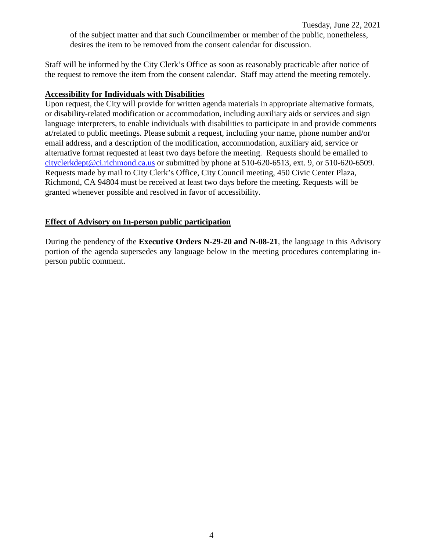Staff will be informed by the City Clerk's Office as soon as reasonably practicable after notice of the request to remove the item from the consent calendar. Staff may attend the meeting remotely.

#### **Accessibility for Individuals with Disabilities**

Upon request, the City will provide for written agenda materials in appropriate alternative formats, or disability-related modification or accommodation, including auxiliary aids or services and sign language interpreters, to enable individuals with disabilities to participate in and provide comments at/related to public meetings. Please submit a request, including your name, phone number and/or email address, and a description of the modification, accommodation, auxiliary aid, service or alternative format requested at least two days before the meeting. Requests should be emailed to [cityclerkdept@ci.richmond.ca.us](mailto:cityclerkdept@ci.richmond.ca.us) or submitted by phone at 510-620-6513, ext. 9, or 510-620-6509. Requests made by mail to City Clerk's Office, City Council meeting, 450 Civic Center Plaza, Richmond, CA 94804 must be received at least two days before the meeting. Requests will be granted whenever possible and resolved in favor of accessibility.

#### **Effect of Advisory on In-person public participation**

During the pendency of the **Executive Orders N-29-20 and N-08-21**, the language in this Advisory portion of the agenda supersedes any language below in the meeting procedures contemplating inperson public comment.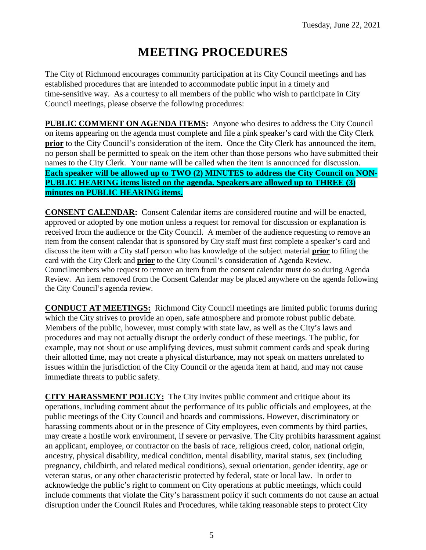# **MEETING PROCEDURES**

The City of Richmond encourages community participation at its City Council meetings and has established procedures that are intended to accommodate public input in a timely and time-sensitive way. As a courtesy to all members of the public who wish to participate in City Council meetings, please observe the following procedures:

**PUBLIC COMMENT ON AGENDA ITEMS:** Anyone who desires to address the City Council on items appearing on the agenda must complete and file a pink speaker's card with the City Clerk **prior** to the City Council's consideration of the item. Once the City Clerk has announced the item, no person shall be permitted to speak on the item other than those persons who have submitted their names to the City Clerk. Your name will be called when the item is announced for discussion. **Each speaker will be allowed up to TWO (2) MINUTES to address the City Council on NON-PUBLIC HEARING items listed on the agenda. Speakers are allowed up to THREE (3) minutes on PUBLIC HEARING items.**

**CONSENT CALENDAR:** Consent Calendar items are considered routine and will be enacted, approved or adopted by one motion unless a request for removal for discussion or explanation is received from the audience or the City Council. A member of the audience requesting to remove an item from the consent calendar that is sponsored by City staff must first complete a speaker's card and discuss the item with a City staff person who has knowledge of the subject material **prior** to filing the card with the City Clerk and **prior** to the City Council's consideration of Agenda Review. Councilmembers who request to remove an item from the consent calendar must do so during Agenda Review. An item removed from the Consent Calendar may be placed anywhere on the agenda following the City Council's agenda review.

**CONDUCT AT MEETINGS:** Richmond City Council meetings are limited public forums during which the City strives to provide an open, safe atmosphere and promote robust public debate. Members of the public, however, must comply with state law, as well as the City's laws and procedures and may not actually disrupt the orderly conduct of these meetings. The public, for example, may not shout or use amplifying devices, must submit comment cards and speak during their allotted time, may not create a physical disturbance, may not speak on matters unrelated to issues within the jurisdiction of the City Council or the agenda item at hand, and may not cause immediate threats to public safety.

**CITY HARASSMENT POLICY:** The City invites public comment and critique about its operations, including comment about the performance of its public officials and employees, at the public meetings of the City Council and boards and commissions. However, discriminatory or harassing comments about or in the presence of City employees, even comments by third parties, may create a hostile work environment, if severe or pervasive. The City prohibits harassment against an applicant, employee, or contractor on the basis of race, religious creed, color, national origin, ancestry, physical disability, medical condition, mental disability, marital status, sex (including pregnancy, childbirth, and related medical conditions), sexual orientation, gender identity, age or veteran status, or any other characteristic protected by federal, state or local law. In order to acknowledge the public's right to comment on City operations at public meetings, which could include comments that violate the City's harassment policy if such comments do not cause an actual disruption under the Council Rules and Procedures, while taking reasonable steps to protect City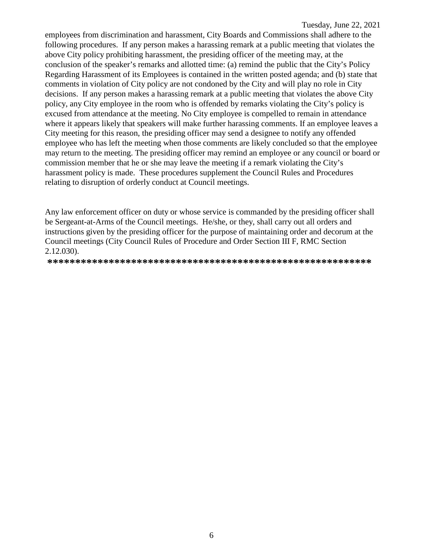employees from discrimination and harassment, City Boards and Commissions shall adhere to the following procedures. If any person makes a harassing remark at a public meeting that violates the above City policy prohibiting harassment, the presiding officer of the meeting may, at the conclusion of the speaker's remarks and allotted time: (a) remind the public that the City's Policy Regarding Harassment of its Employees is contained in the written posted agenda; and (b) state that comments in violation of City policy are not condoned by the City and will play no role in City decisions. If any person makes a harassing remark at a public meeting that violates the above City policy, any City employee in the room who is offended by remarks violating the City's policy is excused from attendance at the meeting. No City employee is compelled to remain in attendance where it appears likely that speakers will make further harassing comments. If an employee leaves a City meeting for this reason, the presiding officer may send a designee to notify any offended employee who has left the meeting when those comments are likely concluded so that the employee may return to the meeting. The presiding officer may remind an employee or any council or board or commission member that he or she may leave the meeting if a remark violating the City's harassment policy is made. These procedures supplement the Council Rules and Procedures relating to disruption of orderly conduct at Council meetings.

Any law enforcement officer on duty or whose service is commanded by the presiding officer shall be Sergeant-at-Arms of the Council meetings. He/she, or they, shall carry out all orders and instructions given by the presiding officer for the purpose of maintaining order and decorum at the Council meetings (City Council Rules of Procedure and Order Section III F, RMC Section 2.12.030).

**\*\*\*\*\*\*\*\*\*\*\*\*\*\*\*\*\*\*\*\*\*\*\*\*\*\*\*\*\*\*\*\*\*\*\*\*\*\*\*\*\*\*\*\*\*\*\*\*\*\*\*\*\*\*\*\*\*\***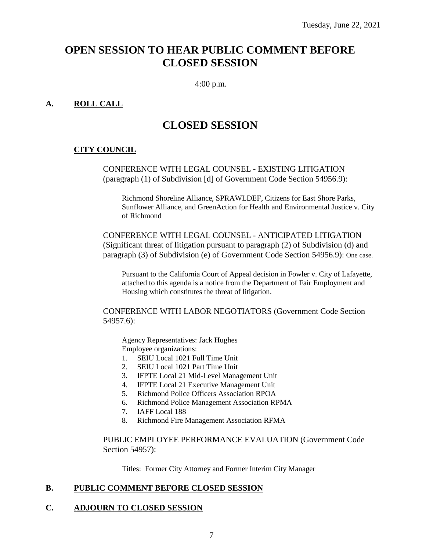## **OPEN SESSION TO HEAR PUBLIC COMMENT BEFORE CLOSED SESSION**

4:00 p.m.

#### **A. ROLL CALL**

## **CLOSED SESSION**

#### **CITY COUNCIL**

CONFERENCE WITH LEGAL COUNSEL - EXISTING LITIGATION (paragraph (1) of Subdivision [d] of Government Code Section 54956.9):

Richmond Shoreline Alliance, SPRAWLDEF, Citizens for East Shore Parks, Sunflower Alliance, and GreenAction for Health and Environmental Justice v. City of Richmond

CONFERENCE WITH LEGAL COUNSEL - ANTICIPATED LITIGATION (Significant threat of litigation pursuant to paragraph (2) of Subdivision (d) and paragraph (3) of Subdivision (e) of Government Code Section 54956.9): One case.

Pursuant to the California Court of Appeal decision in Fowler v. City of Lafayette, attached to this agenda is a notice from the Department of Fair Employment and Housing which constitutes the threat of litigation.

CONFERENCE WITH LABOR NEGOTIATORS (Government Code Section 54957.6):

Agency Representatives: Jack Hughes Employee organizations:

- 1. SEIU Local 1021 Full Time Unit
- 2. SEIU Local 1021 Part Time Unit
- 3. IFPTE Local 21 Mid-Level Management Unit
- 4. IFPTE Local 21 Executive Management Unit
- 5. Richmond Police Officers Association RPOA
- 6. Richmond Police Management Association RPMA
- 7. IAFF Local 188
- 8. Richmond Fire Management Association RFMA

PUBLIC EMPLOYEE PERFORMANCE EVALUATION (Government Code Section 54957):

Titles: Former City Attorney and Former Interim City Manager

#### **B. PUBLIC COMMENT BEFORE CLOSED SESSION**

### **C. ADJOURN TO CLOSED SESSION**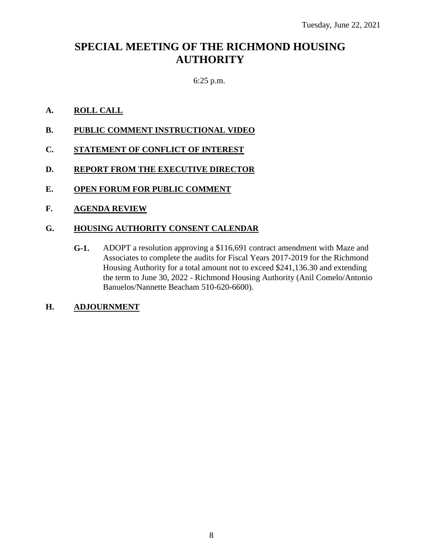## **SPECIAL MEETING OF THE RICHMOND HOUSING AUTHORITY**

#### 6:25 p.m.

#### **A. ROLL CALL**

- **B. PUBLIC COMMENT INSTRUCTIONAL VIDEO**
- **C. STATEMENT OF CONFLICT OF INTEREST**
- **D. REPORT FROM THE EXECUTIVE DIRECTOR**
- **E. OPEN FORUM FOR PUBLIC COMMENT**
- **F. AGENDA REVIEW**

#### **G. HOUSING AUTHORITY CONSENT CALENDAR**

**G-1.** ADOPT a resolution approving a \$116,691 contract amendment with Maze and Associates to complete the audits for Fiscal Years 2017-2019 for the Richmond Housing Authority for a total amount not to exceed \$241,136.30 and extending the term to June 30, 2022 - Richmond Housing Authority (Anil Comelo/Antonio Banuelos/Nannette Beacham 510-620-6600).

#### **H. ADJOURNMENT**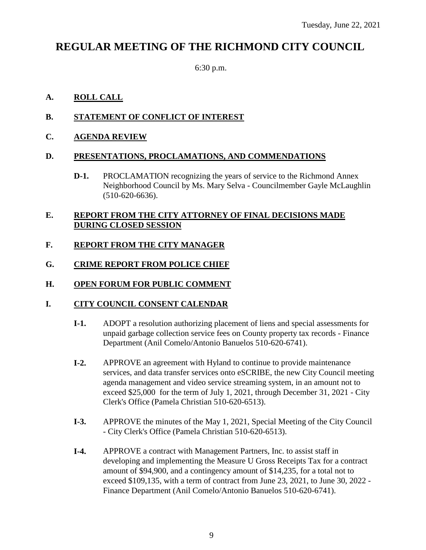## **REGULAR MEETING OF THE RICHMOND CITY COUNCIL**

6:30 p.m.

#### **A. ROLL CALL**

#### **B. STATEMENT OF CONFLICT OF INTEREST**

#### **C. AGENDA REVIEW**

#### **D. PRESENTATIONS, PROCLAMATIONS, AND COMMENDATIONS**

**D-1.** PROCLAMATION recognizing the years of service to the Richmond Annex Neighborhood Council by Ms. Mary Selva - Councilmember Gayle McLaughlin (510-620-6636).

#### **E. REPORT FROM THE CITY ATTORNEY OF FINAL DECISIONS MADE DURING CLOSED SESSION**

### **F. REPORT FROM THE CITY MANAGER**

#### **G. CRIME REPORT FROM POLICE CHIEF**

#### **H. OPEN FORUM FOR PUBLIC COMMENT**

#### **I. CITY COUNCIL CONSENT CALENDAR**

- **I-1.** ADOPT a resolution authorizing placement of liens and special assessments for unpaid garbage collection service fees on County property tax records - Finance Department (Anil Comelo/Antonio Banuelos 510-620-6741).
- **I-2.** APPROVE an agreement with Hyland to continue to provide maintenance services, and data transfer services onto eSCRIBE, the new City Council meeting agenda management and video service streaming system, in an amount not to exceed \$25,000 for the term of July 1, 2021, through December 31, 2021 - City Clerk's Office (Pamela Christian 510-620-6513).
- **I-3.** APPROVE the minutes of the May 1, 2021, Special Meeting of the City Council - City Clerk's Office (Pamela Christian 510-620-6513).
- **I-4.** APPROVE a contract with Management Partners, Inc. to assist staff in developing and implementing the Measure U Gross Receipts Tax for a contract amount of \$94,900, and a contingency amount of \$14,235, for a total not to exceed \$109,135, with a term of contract from June 23, 2021, to June 30, 2022 - Finance Department (Anil Comelo/Antonio Banuelos 510-620-6741).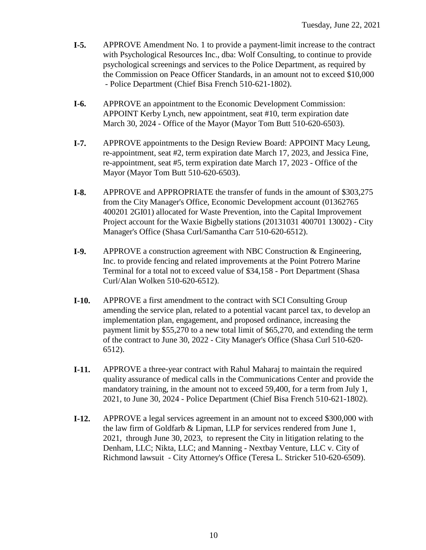- **I-5.** APPROVE Amendment No. 1 to provide a payment-limit increase to the contract with Psychological Resources Inc., dba: Wolf Consulting, to continue to provide psychological screenings and services to the Police Department, as required by the Commission on Peace Officer Standards, in an amount not to exceed \$10,000 - Police Department (Chief Bisa French 510-621-1802).
- **I-6.** APPROVE an appointment to the Economic Development Commission: APPOINT Kerby Lynch, new appointment, seat #10, term expiration date March 30, 2024 - Office of the Mayor (Mayor Tom Butt 510-620-6503).
- **I-7.** APPROVE appointments to the Design Review Board: APPOINT Macy Leung, re-appointment, seat #2, term expiration date March 17, 2023, and Jessica Fine, re-appointment, seat #5, term expiration date March 17, 2023 - Office of the Mayor (Mayor Tom Butt 510-620-6503).
- **I-8.** APPROVE and APPROPRIATE the transfer of funds in the amount of \$303,275 from the City Manager's Office, Economic Development account (01362765 400201 2GI01) allocated for Waste Prevention, into the Capital Improvement Project account for the Waxie Bigbelly stations (20131031 400701 13002) - City Manager's Office (Shasa Curl/Samantha Carr 510-620-6512).
- **I-9.** APPROVE a construction agreement with NBC Construction & Engineering, Inc. to provide fencing and related improvements at the Point Potrero Marine Terminal for a total not to exceed value of \$34,158 - Port Department (Shasa Curl/Alan Wolken 510-620-6512).
- **I-10.** APPROVE a first amendment to the contract with SCI Consulting Group amending the service plan, related to a potential vacant parcel tax, to develop an implementation plan, engagement, and proposed ordinance, increasing the payment limit by \$55,270 to a new total limit of \$65,270, and extending the term of the contract to June 30, 2022 - City Manager's Office (Shasa Curl 510-620- 6512).
- **I-11.** APPROVE a three-year contract with Rahul Maharaj to maintain the required quality assurance of medical calls in the Communications Center and provide the mandatory training, in the amount not to exceed 59,400, for a term from July 1, 2021, to June 30, 2024 - Police Department (Chief Bisa French 510-621-1802).
- **I-12.** APPROVE a legal services agreement in an amount not to exceed \$300,000 with the law firm of Goldfarb & Lipman, LLP for services rendered from June 1, 2021, through June 30, 2023, to represent the City in litigation relating to the Denham, LLC; Nikta, LLC; and Manning - Nextbay Venture, LLC v. City of Richmond lawsuit - City Attorney's Office (Teresa L. Stricker 510-620-6509).